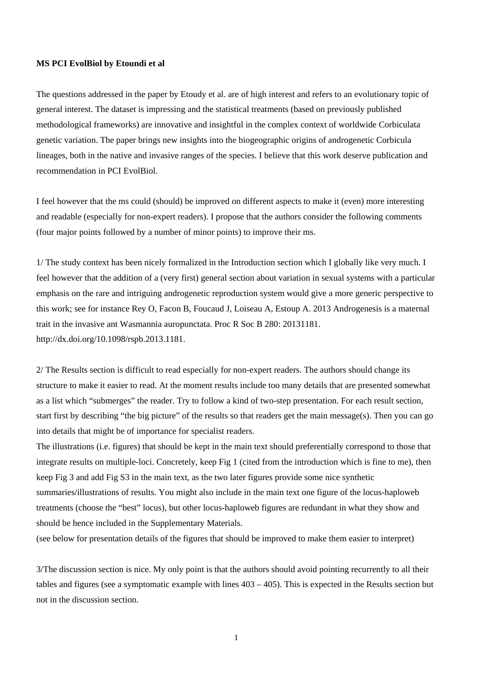## **MS PCI EvolBiol by Etoundi et al**

The questions addressed in the paper by Etoudy et al. are of high interest and refers to an evolutionary topic of general interest. The dataset is impressing and the statistical treatments (based on previously published methodological frameworks) are innovative and insightful in the complex context of worldwide Corbiculata genetic variation. The paper brings new insights into the biogeographic origins of androgenetic Corbicula lineages, both in the native and invasive ranges of the species. I believe that this work deserve publication and recommendation in PCI EvolBiol.

I feel however that the ms could (should) be improved on different aspects to make it (even) more interesting and readable (especially for non-expert readers). I propose that the authors consider the following comments (four major points followed by a number of minor points) to improve their ms.

1/ The study context has been nicely formalized in the Introduction section which I globally like very much. I feel however that the addition of a (very first) general section about variation in sexual systems with a particular emphasis on the rare and intriguing androgenetic reproduction system would give a more generic perspective to this work; see for instance Rey O, Facon B, Foucaud J, Loiseau A, Estoup A. 2013 Androgenesis is a maternal trait in the invasive ant Wasmannia auropunctata. Proc R Soc B 280: 20131181. http://dx.doi.org/10.1098/rspb.2013.1181.

2/ The Results section is difficult to read especially for non-expert readers. The authors should change its structure to make it easier to read. At the moment results include too many details that are presented somewhat as a list which "submerges" the reader. Try to follow a kind of two-step presentation. For each result section, start first by describing "the big picture" of the results so that readers get the main message(s). Then you can go into details that might be of importance for specialist readers.

The illustrations (i.e. figures) that should be kept in the main text should preferentially correspond to those that integrate results on multiple-loci. Concretely, keep Fig 1 (cited from the introduction which is fine to me), then keep Fig 3 and add Fig S3 in the main text, as the two later figures provide some nice synthetic summaries/illustrations of results. You might also include in the main text one figure of the locus-haploweb treatments (choose the "best" locus), but other locus-haploweb figures are redundant in what they show and should be hence included in the Supplementary Materials.

(see below for presentation details of the figures that should be improved to make them easier to interpret)

3/The discussion section is nice. My only point is that the authors should avoid pointing recurrently to all their tables and figures (see a symptomatic example with lines 403 – 405). This is expected in the Results section but not in the discussion section.